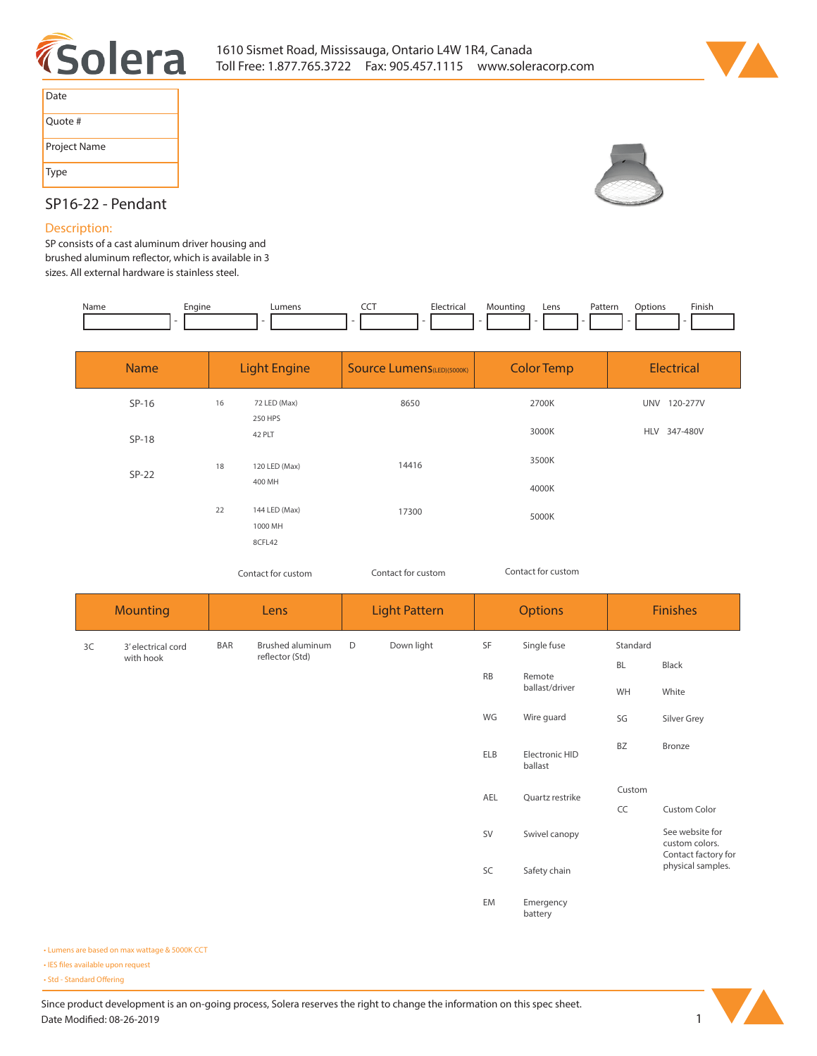



| Date         |
|--------------|
| Quote #      |
| Project Name |
| Type         |



# **SP16-22 - Pendant**

## **Description:**

**SP consists of a cast aluminum driver housing and**  brushed aluminum reflector, which is available in 3 **sizes. All external hardware is stainless steel.** 

| Name | Engine | ∟umens | <b>COLOR</b><br>$-$ | Electrical | Mountino | Lens<br>$-1$ | Patterr | otions) | Finish |
|------|--------|--------|---------------------|------------|----------|--------------|---------|---------|--------|
|      |        |        |                     |            |          |              |         |         |        |

| <b>Name</b> |    | <b>Light Engine</b>     | <b>Source Lumens</b> (LED)(5000K) | <b>Color Temp</b> | Electrical             |
|-------------|----|-------------------------|-----------------------------------|-------------------|------------------------|
| $SP-16$     | 16 | 72 LED (Max)<br>250 HPS | 8650                              | 2700K             | <b>UNV</b><br>120-277V |
| $SP-18$     |    | 42 PLT                  |                                   | 3000K             | HLV 347-480V           |
| $SP-22$     | 18 | 120 LED (Max)           | 14416                             | 3500K             |                        |
|             |    | 400 MH                  |                                   | 4000K             |                        |
|             | 22 | 144 LED (Max)           | 17300                             | 5000K             |                        |
|             |    | 1000 MH<br>8CFL42       |                                   |                   |                        |

*Contact for custom Contact for custom*

*Contact for custom*

| <b>Mounting</b>          |            | Lens                                |   | <b>Light Pattern</b> | <b>Options</b> |                           | <b>Finishes</b> |                                                          |  |
|--------------------------|------------|-------------------------------------|---|----------------------|----------------|---------------------------|-----------------|----------------------------------------------------------|--|
| 3' electrical cord<br>3C | <b>BAR</b> | Brushed aluminum<br>reflector (Std) | D | Down light           | SF             | Single fuse               | Standard        |                                                          |  |
| with hook                |            |                                     |   |                      | <b>RB</b>      | Remote<br>ballast/driver  | <b>BL</b>       | Black                                                    |  |
|                          |            |                                     |   |                      |                |                           | WH              | White                                                    |  |
|                          |            |                                     |   |                      | WG             | Wire guard                | SG              | Silver Grey                                              |  |
|                          |            |                                     |   |                      | <b>ELB</b>     | Electronic HID<br>ballast | <b>BZ</b>       | Bronze                                                   |  |
|                          |            |                                     |   |                      | AEL            | Quartz restrike           | Custom          |                                                          |  |
|                          |            |                                     |   |                      |                |                           | CC              | Custom Color                                             |  |
|                          |            |                                     |   |                      | SV             | Swivel canopy             |                 | See website for<br>custom colors.<br>Contact factory for |  |
|                          |            |                                     |   |                      | SC             | Safety chain              |                 | physical samples.                                        |  |
|                          |            |                                     |   |                      | EM             | Emergency<br>battery      |                 |                                                          |  |

**• Lumens are based on max wattage & 5000K CCT**

**• IES files available upon request** 

• Std - Standard Offering

Since product development is an on-going process, Solera reserves the right to change the information on this spec sheet. **Date Modified: 08-26-2019** 1